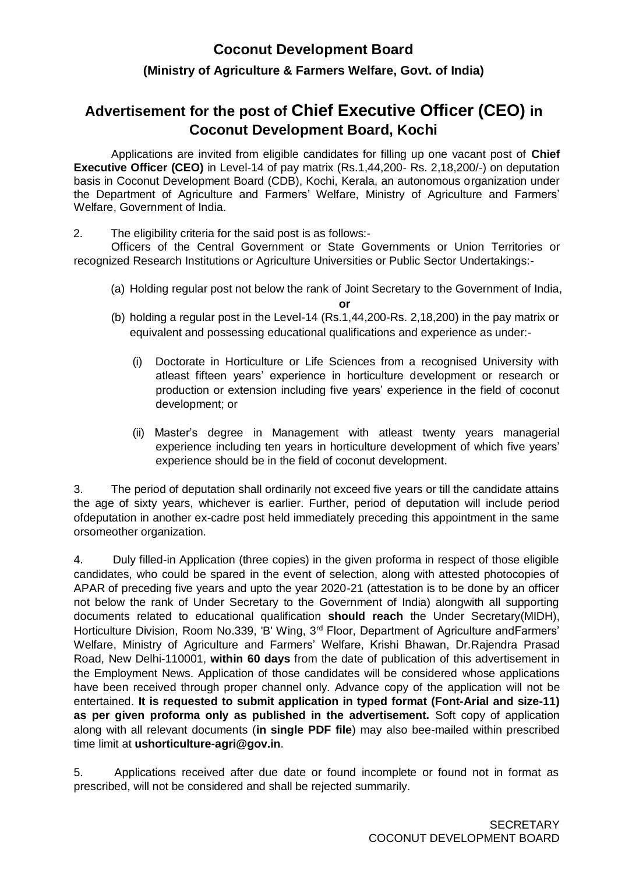# **Coconut Development Board**

# **(Ministry of Agriculture & Farmers Welfare, Govt. of India)**

# **Advertisement for the post of Chief Executive Officer (CEO) in Coconut Development Board, Kochi**

Applications are invited from eligible candidates for filling up one vacant post of **Chief Executive Officer (CEO)** in Level-14 of pay matrix (Rs.1,44,200- Rs. 2,18,200/-) on deputation basis in Coconut Development Board (CDB), Kochi, Kerala, an autonomous organization under the Department of Agriculture and Farmers' Welfare, Ministry of Agriculture and Farmers' Welfare, Government of India.

2. The eligibility criteria for the said post is as follows:-

Officers of the Central Government or State Governments or Union Territories or recognized Research Institutions or Agriculture Universities or Public Sector Undertakings:-

(a) Holding regular post not below the rank of Joint Secretary to the Government of India,

**or**

- (b) holding a regular post in the Level-14 (Rs.1,44,200-Rs. 2,18,200) in the pay matrix or equivalent and possessing educational qualifications and experience as under:-
	- (i) Doctorate in Horticulture or Life Sciences from a recognised University with atleast fifteen years' experience in horticulture development or research or production or extension including five years' experience in the field of coconut development; or
	- (ii) Master's degree in Management with atleast twenty years managerial experience including ten years in horticulture development of which five years' experience should be in the field of coconut development.

3. The period of deputation shall ordinarily not exceed five years or till the candidate attains the age of sixty years, whichever is earlier. Further, period of deputation will include period ofdeputation in another ex-cadre post held immediately preceding this appointment in the same orsomeother organization.

4. Duly filled-in Application (three copies) in the given proforma in respect of those eligible candidates, who could be spared in the event of selection, along with attested photocopies of APAR of preceding five years and upto the year 2020-21 (attestation is to be done by an officer not below the rank of Under Secretary to the Government of India) alongwith all supporting documents related to educational qualification **should reach** the Under Secretary(MIDH), Horticulture Division, Room No.339, 'B' Wing, 3<sup>rd</sup> Floor, Department of Agriculture and Farmers' Welfare, Ministry of Agriculture and Farmers' Welfare, Krishi Bhawan, Dr.Rajendra Prasad Road, New Delhi-110001, **within 60 days** from the date of publication of this advertisement in the Employment News. Application of those candidates will be considered whose applications have been received through proper channel only. Advance copy of the application will not be entertained. **It is requested to submit application in typed format (Font-Arial and size-11) as per given proforma only as published in the advertisement.** Soft copy of application along with all relevant documents (**in single PDF file**) may also bee-mailed within prescribed time limit at **[ushorticulture-agri@gov.in](mailto:ushorticulture-agri@gov.in)**.

5. Applications received after due date or found incomplete or found not in format as prescribed, will not be considered and shall be rejected summarily.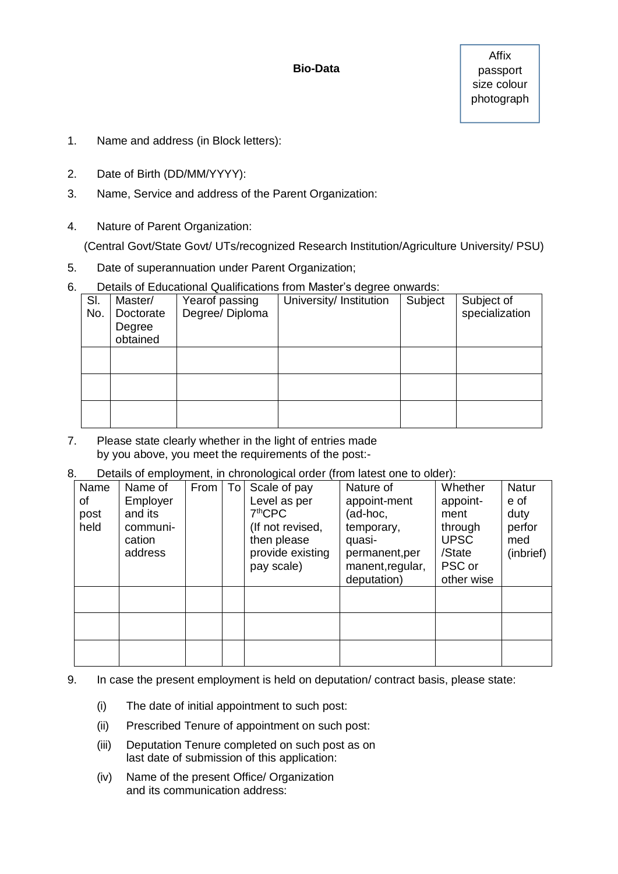**Bio-Data**

- 1. Name and address (in Block letters):
- 2. Date of Birth (DD/MM/YYYY):
- 3. Name, Service and address of the Parent Organization:
- 4. Nature of Parent Organization:

(Central Govt/State Govt/ UTs/recognized Research Institution/Agriculture University/ PSU)

- 5. Date of superannuation under Parent Organization;
- 6. Details of Educational Qualifications from Master's degree onwards:

| SI. | Master/   | Yearof passing  | University/ Institution | Subject | Subject of     |
|-----|-----------|-----------------|-------------------------|---------|----------------|
| No. | Doctorate | Degree/ Diploma |                         |         | specialization |
|     | Degree    |                 |                         |         |                |
|     | obtained  |                 |                         |         |                |
|     |           |                 |                         |         |                |
|     |           |                 |                         |         |                |
|     |           |                 |                         |         |                |
|     |           |                 |                         |         |                |
|     |           |                 |                         |         |                |
|     |           |                 |                         |         |                |

- 7. Please state clearly whether in the light of entries made by you above, you meet the requirements of the post:-
- 8. Details of employment, in chronological order (from latest one to older):

| Name | Name of  | From | Tol | Scale of pay     | Nature of        | Whether     | <b>Natur</b> |
|------|----------|------|-----|------------------|------------------|-------------|--------------|
| οf   | Employer |      |     | Level as per     | appoint-ment     | appoint-    | e of         |
| post | and its  |      |     | $7th$ CPC        | (ad-hoc,         | ment        | duty         |
| held | communi- |      |     | (If not revised, | temporary,       | through     | perfor       |
|      | cation   |      |     | then please      | quasi-           | <b>UPSC</b> | med          |
|      | address  |      |     | provide existing | permanent, per   | /State      | (inbrief)    |
|      |          |      |     | pay scale)       | manent, regular, | PSC or      |              |
|      |          |      |     |                  | deputation)      | other wise  |              |
|      |          |      |     |                  |                  |             |              |
|      |          |      |     |                  |                  |             |              |
|      |          |      |     |                  |                  |             |              |
|      |          |      |     |                  |                  |             |              |
|      |          |      |     |                  |                  |             |              |
|      |          |      |     |                  |                  |             |              |

- 9. In case the present employment is held on deputation/ contract basis, please state:
	- (i) The date of initial appointment to such post:
	- (ii) Prescribed Tenure of appointment on such post:
	- (iii) Deputation Tenure completed on such post as on last date of submission of this application:
	- (iv) Name of the present Office/ Organization and its communication address: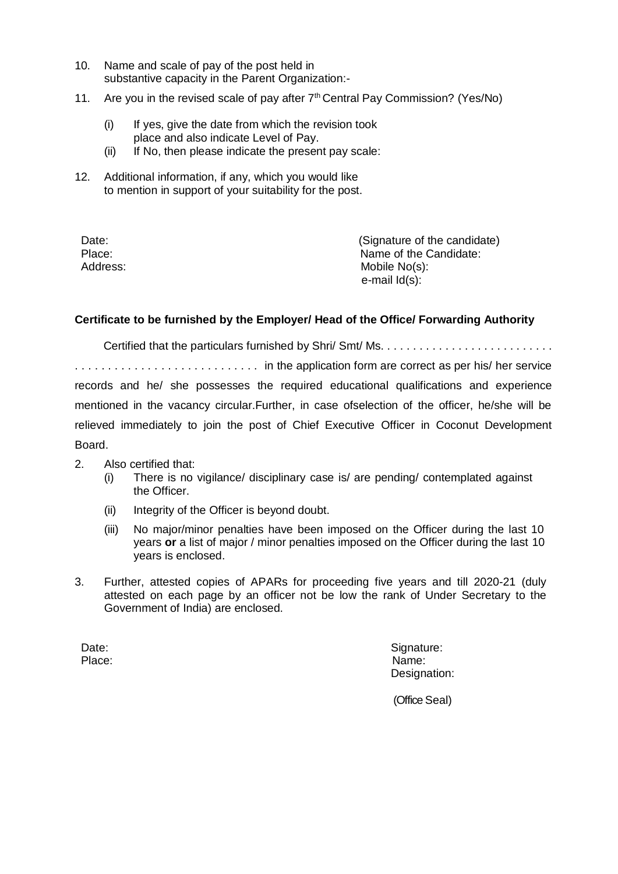- 10. Name and scale of pay of the post held in substantive capacity in the Parent Organization:-
- 11. Are you in the revised scale of pay after  $7<sup>th</sup>$  Central Pay Commission? (Yes/No)
	- (i) If yes, give the date from which the revision took place and also indicate Level of Pay.
	- (ii) If No, then please indicate the present pay scale:
- 12. Additional information, if any, which you would like to mention in support of your suitability for the post.

Date:  $\Box$  (Signature of the candidate) Place:  $\blacksquare$  Place:  $\blacksquare$   $\blacksquare$   $\blacksquare$   $\blacksquare$   $\blacksquare$   $\blacksquare$   $\blacksquare$   $\blacksquare$   $\blacksquare$   $\blacksquare$   $\blacksquare$   $\blacksquare$   $\blacksquare$   $\blacksquare$   $\blacksquare$   $\blacksquare$   $\blacksquare$   $\blacksquare$   $\blacksquare$   $\blacksquare$   $\blacksquare$   $\blacksquare$   $\blacksquare$   $\blacksquare$   $\blacksquare$   $\blacksquare$   $\blacksquare$   $\blacksquare$   $\blacksquare$ Address: Mobile No(s): e-mail Id(s):

## **Certificate to be furnished by the Employer/ Head of the Office/ Forwarding Authority**

Certified that the particulars furnished by Shri/ Smt/ Ms. . . . . . . . . . . . . . . . . . . . . . . . . . .

. . . . . . . . . . . . . . . . . . . . . . . . . . . . in the application form are correct as per his/ her service records and he/ she possesses the required educational qualifications and experience mentioned in the vacancy circular.Further, in case ofselection of the officer, he/she will be relieved immediately to join the post of Chief Executive Officer in Coconut Development Board.

- 2. Also certified that:
	- (i) There is no vigilance/ disciplinary case is/ are pending/ contemplated against the Officer.
	- (ii) Integrity of the Officer is beyond doubt.
	- (iii) No major/minor penalties have been imposed on the Officer during the last 10 years **or** a list of major / minor penalties imposed on the Officer during the last 10 years is enclosed.
- 3. Further, attested copies of APARs for proceeding five years and till 2020-21 (duly attested on each page by an officer not be low the rank of Under Secretary to the Government of India) are enclosed.

Date: Signature: Signature: Signature: Signature: Signature: Signature: Signature: Signature: Signature: Signature: Signature: Signature: Signature: Signature: Signature: Signature: Signature: Signature: Signature: Signatu Place: Name: Name: Name: Name: Name: Name: Name: Name: Name: Name: Name: Name: Name: Name: Name: Name: Name: Name: Name: Name: Name: Name: Name: Name: Name: Name: Name: Name: Name: Name: Name: Name: Name: Name: Name: Name: Designation:

(Office Seal)